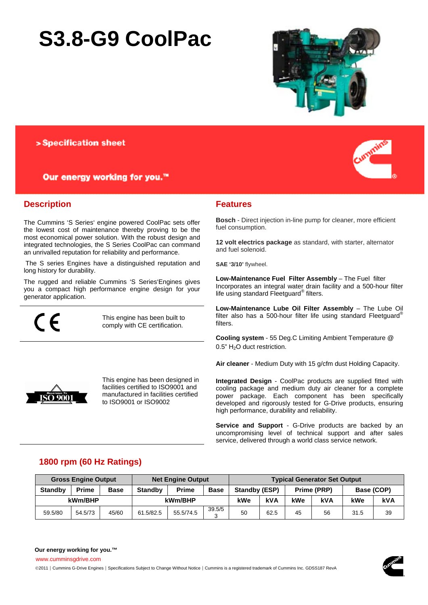# **S3.8-G9 CoolPac**



> Specification sheet

# Our energy working for you.™

# **Description**

The Cummins 'S Series' engine powered CoolPac sets offer the lowest cost of maintenance thereby proving to be the most economical power solution. With the robust design and integrated technologies, the S Series CoolPac can command an unrivalled reputation for reliability and performance.

 The S series Engines have a distinguished reputation and long history for durability.

The rugged and reliable Cummins 'S Series'Engines gives you a compact high performance engine design for your generator application.

 $\epsilon$ 

This engine has been built to comply with CE certification.



This engine has been designed in facilities certified to ISO9001 and manufactured in facilities certified to ISO9001 or ISO9002

# **Features**

**Bosch** - Direct injection in-line pump for cleaner, more efficient fuel consumption.

**12 volt electrics package** as standard, with starter, alternator and fuel solenoid.

**SAE '3/10'** flywheel.

**Low-Maintenance Fuel Filter Assembly** – The Fuel filter Incorporates an integral water drain facility and a 500-hour filter life using standard Fleetguard® filters.

Low-Maintenance Lube Oil Filter Assembly - The Lube Oil filter also has a 500-hour filter life using standard Fleetguard® filters.

**Cooling system** - 55 Deg.C Limiting Ambient Temperature @ 0.5" H<sub>2</sub>O duct restriction.

**Air cleaner** - Medium Duty with 15 g/cfm dust Holding Capacity.

**Integrated Design** - CoolPac products are supplied fitted with cooling package and medium duty air cleaner for a complete power package. Each component has been specifically developed and rigorously tested for G-Drive products, ensuring high performance, durability and reliability.

**Service and Support** - G-Drive products are backed by an uncompromising level of technical support and after sales service, delivered through a world class service network.

## **1800 rpm (60 Hz Ratings)**

| <b>Gross Engine Output</b> |              |             | <b>Net Engine Output</b> |              |                  | <b>Typical Generator Set Output</b> |      |             |            |            |            |
|----------------------------|--------------|-------------|--------------------------|--------------|------------------|-------------------------------------|------|-------------|------------|------------|------------|
| <b>Standby</b>             | <b>Prime</b> | <b>Base</b> | <b>Standby</b>           | <b>Prime</b> | <b>Base</b>      | <b>Standby (ESP)</b>                |      | Prime (PRP) |            | Base (COP) |            |
| kWm/BHP                    |              |             | kWm/BHP                  |              |                  | kWe                                 | kVA  | kWe         | <b>kVA</b> | kWe        | <b>kVA</b> |
| 59.5/80                    | 54.5/73      | 45/60       | 61.5/82.5                | 55.5/74.5    | 39.5/5<br>≘<br>ບ | 50                                  | 62.5 | 45          | 56         | 31.5       | 39         |



www.cumminsgdrive.com

@2011 | Cummins G-Drive Engines | Specifications Subject to Change Without Notice | Cummins is a registered trademark of Cummins Inc. GDSS187 RevA